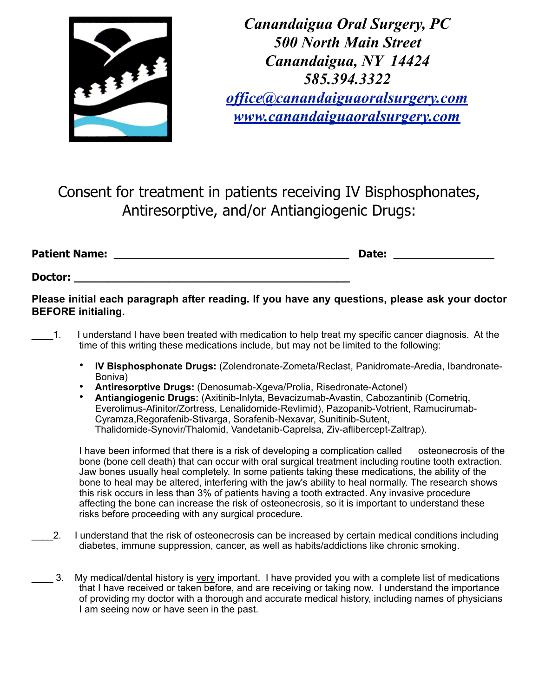

*Canandaigua Oral Surgery, PC 500 North Main Street Canandaigua, NY 14424 585.394.3322 [office@canandaiguaoralsurgery.com](mailto:office@canandaiguaoralsurgery.com) [www.canandaiguaoralsurgery.com](http://www.canandaiguaoralsurgery.com)*

Consent for treatment in patients receiving IV Bisphosphonates, Antiresorptive, and/or Antiangiogenic Drugs:

**Patient Name: \_\_\_\_\_\_\_\_\_\_\_\_\_\_\_\_\_\_\_\_\_\_\_\_\_\_\_\_\_\_\_\_\_\_\_ Date: \_\_\_\_\_\_\_\_\_\_\_\_\_\_\_** 

Doctor:

**Please initial each paragraph after reading. If you have any questions, please ask your doctor BEFORE initialing.** 

- \_\_\_\_1. I understand I have been treated with medication to help treat my specific cancer diagnosis. At the time of this writing these medications include, but may not be limited to the following:
	- **IV Bisphosphonate Drugs:** (Zolendronate-Zometa/Reclast, Panidromate-Aredia, Ibandronate-Boniva)
	- **Antiresorptive Drugs:** (Denosumab-Xgeva/Prolia, Risedronate-Actonel)
	- **Antiangiogenic Drugs:** (Axitinib-Inlyta, Bevacizumab-Avastin, Cabozantinib (Cometriq, Everolimus-Afinitor/Zortress, Lenalidomide-Revlimid), Pazopanib-Votrient, Ramucirumab-Cyramza,Regorafenib-Stivarga, Sorafenib-Nexavar, Sunitinib-Sutent, Thalidomide-Synovir/Thalomid, Vandetanib-Caprelsa, Ziv-aflibercept-Zaltrap).

I have been informed that there is a risk of developing a complication called osteonecrosis of the bone (bone cell death) that can occur with oral surgical treatment including routine tooth extraction. Jaw bones usually heal completely. In some patients taking these medications, the ability of the bone to heal may be altered, interfering with the jaw's ability to heal normally. The research shows this risk occurs in less than 3% of patients having a tooth extracted. Any invasive procedure affecting the bone can increase the risk of osteonecrosis, so it is important to understand these risks before proceeding with any surgical procedure.

- \_\_\_\_2. I understand that the risk of osteonecrosis can be increased by certain medical conditions including diabetes, immune suppression, cancer, as well as habits/addictions like chronic smoking.
- \_\_\_\_ 3. My medical/dental history is very important. I have provided you with a complete list of medications that I have received or taken before, and are receiving or taking now. I understand the importance of providing my doctor with a thorough and accurate medical history, including names of physicians I am seeing now or have seen in the past.